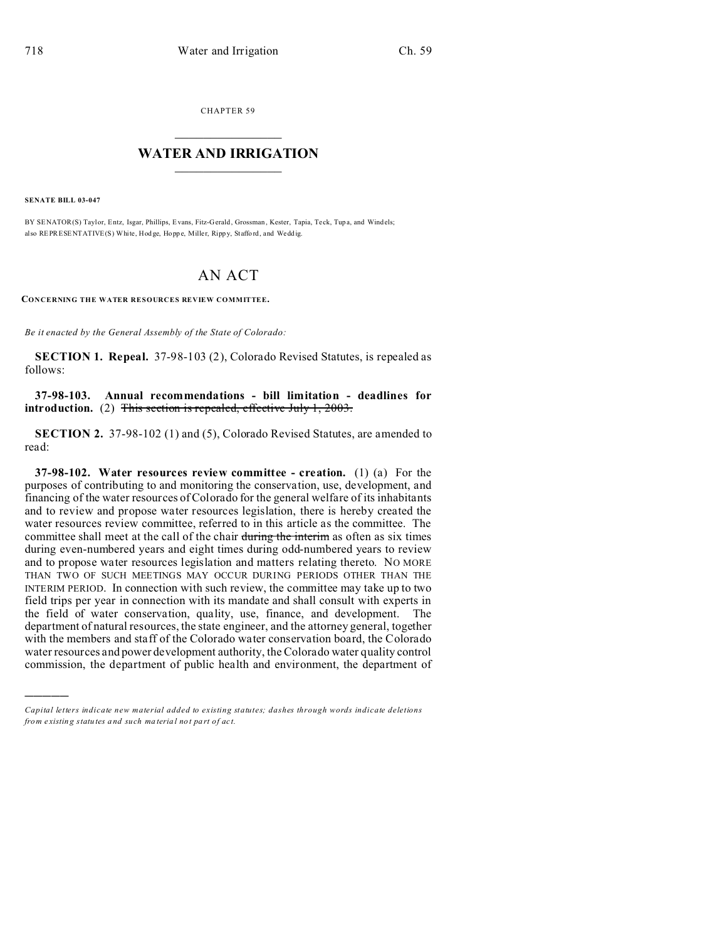CHAPTER 59  $\overline{\phantom{a}}$  , where  $\overline{\phantom{a}}$ 

## **WATER AND IRRIGATION**  $\_$   $\_$   $\_$   $\_$   $\_$   $\_$   $\_$   $\_$   $\_$

**SENATE BILL 03-047**

)))))

BY SENATOR(S) Taylor, Entz, Isgar, Phillips, Evans, Fitz-Gerald, Grossman , Kester, Tapia, Te ck, Tup a, and Windels; also REPRESENTATIVE(S) White, Hod ge, Hopp e, Miller, Ripp y, Staffo rd, and Wedd ig.

## AN ACT

**CONCERNING THE WATER RESOURCES REVIEW COMMITTEE.**

*Be it enacted by the General Assembly of the State of Colorado:*

**SECTION 1. Repeal.** 37-98-103 (2), Colorado Revised Statutes, is repealed as follows:

## **37-98-103. Annual recommendations - bill limitation - deadlines for introduction.** (2) This section is repealed, effective July 1, 2003.

**SECTION 2.** 37-98-102 (1) and (5), Colorado Revised Statutes, are amended to read:

**37-98-102. Water resources review committee - creation.** (1) (a) For the purposes of contributing to and monitoring the conservation, use, development, and financing of the water resources of Colorado for the general welfare of its inhabitants and to review and propose water resources legislation, there is hereby created the water resources review committee, referred to in this article as the committee. The committee shall meet at the call of the chair during the interim as often as six times during even-numbered years and eight times during odd-numbered years to review and to propose water resources legislation and matters relating thereto. NO MORE THAN TWO OF SUCH MEETINGS MAY OCCUR DURING PERIODS OTHER THAN THE INTERIM PERIOD. In connection with such review, the committee may take up to two field trips per year in connection with its mandate and shall consult with experts in the field of water conservation, quality, use, finance, and development. The department of natural resources, the state engineer, and the attorney general, together with the members and staff of the Colorado water conservation board, the Colorado water resources and power development authority, the Colorado water quality control commission, the department of public health and environment, the department of

*Capital letters indicate new material added to existing statutes; dashes through words indicate deletions from e xistin g statu tes a nd such ma teria l no t pa rt of ac t.*